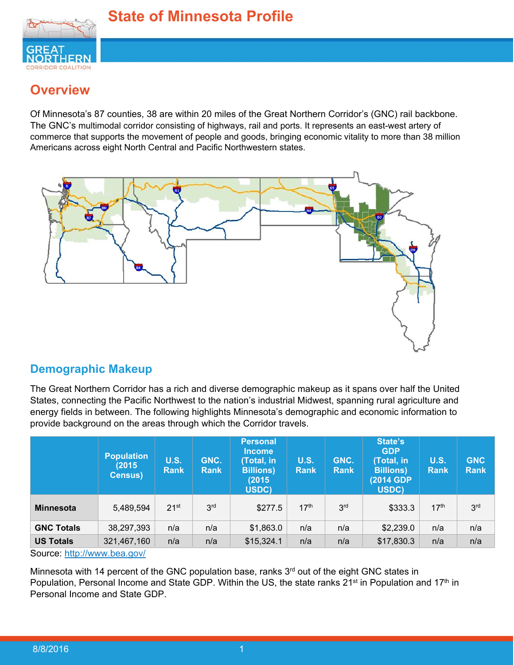

# **Overview**

Of Minnesota's 87 counties, 38 are within 20 miles of the Great Northern Corridor's (GNC) rail backbone. The GNC's multimodal corridor consisting of highways, rail and ports. It represents an east-west artery of commerce that supports the movement of people and goods, bringing economic vitality to more than 38 million Americans across eight North Central and Pacific Northwestern states.



## **Demographic Makeup**

The Great Northern Corridor has a rich and diverse demographic makeup as it spans over half the United States, connecting the Pacific Northwest to the nation's industrial Midwest, spanning rural agriculture and energy fields in between. The following highlights Minnesota's demographic and economic information to provide background on the areas through which the Corridor travels.

|                            | <b>Population</b><br>(2015)<br><b>Census)</b> | <b>U.S.</b><br><b>Rank</b> | GNC.<br><b>Rank</b> | <b>Personal</b><br><b>Income</b><br>(Total, in<br><b>Billions</b> )<br>(2015<br>USDC) | <b>U.S.</b><br><b>Rank</b> | GNC.<br><b>Rank</b> | State's<br><b>GDP</b><br>(Total, in<br><b>Billions</b> )<br>(2014 GDP)<br>USDC) | <b>U.S.</b><br>Rank | <b>GNC</b><br><b>Rank</b> |
|----------------------------|-----------------------------------------------|----------------------------|---------------------|---------------------------------------------------------------------------------------|----------------------------|---------------------|---------------------------------------------------------------------------------|---------------------|---------------------------|
| <b>Minnesota</b>           | 5,489,594                                     | 21 <sup>st</sup>           | 3 <sup>rd</sup>     | \$277.5                                                                               | 17 <sup>th</sup>           | 3 <sup>rd</sup>     | \$333.3                                                                         | 17 <sup>th</sup>    | 3 <sup>rd</sup>           |
| <b>GNC Totals</b>          | 38,297,393                                    | n/a                        | n/a                 | \$1,863.0                                                                             | n/a                        | n/a                 | \$2,239.0                                                                       | n/a                 | n/a                       |
| <b>US Totals</b>           | 321,467,160                                   | n/a                        | n/a                 | \$15,324.1                                                                            | n/a                        | n/a                 | \$17,830.3                                                                      | n/a                 | n/a                       |
| Course http://www.boo.gov/ |                                               |                            |                     |                                                                                       |                            |                     |                                                                                 |                     |                           |

Source: http://www.bea.gov/

Minnesota with 14 percent of the GNC population base, ranks  $3<sup>rd</sup>$  out of the eight GNC states in Population, Personal Income and State GDP. Within the US, the state ranks 21<sup>st</sup> in Population and 17<sup>th</sup> in Personal Income and State GDP.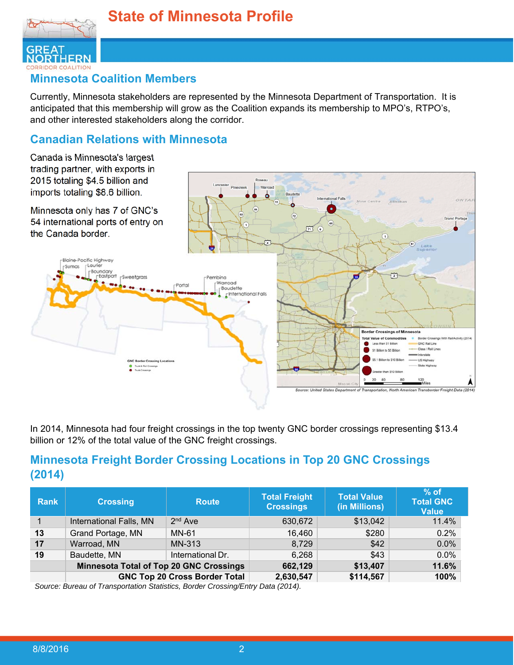



#### **Minnesota Coalition Members**

Currently, Minnesota stakeholders are represented by the Minnesota Department of Transportation. It is anticipated that this membership will grow as the Coalition expands its membership to MPO's, RTPO's, and other interested stakeholders along the corridor.

### **Canadian Relations with Minnesota**

Canada is Minnesota's largest trading partner, with exports in 2015 totaling \$4.5 billion and imports totaling \$8.6 billion.

Minnesota only has 7 of GNC's 54 international ports of entry on the Canada border.



In 2014, Minnesota had four freight crossings in the top twenty GNC border crossings representing \$13.4 billion or 12% of the total value of the GNC freight crossings.

## **Minnesota Freight Border Crossing Locations in Top 20 GNC Crossings (2014)**

| <b>Rank</b> | <b>Crossing</b>                                | <b>Route</b>                         | <b>Total Freight</b><br><b>Crossings</b> | <b>Total Value</b><br>(in Millions) | $%$ of<br><b>Total GNC</b><br><b>Value</b> |
|-------------|------------------------------------------------|--------------------------------------|------------------------------------------|-------------------------------------|--------------------------------------------|
|             | International Falls, MN                        | $2nd$ Ave                            | 630,672                                  | \$13,042                            | 11.4%                                      |
| 13          | Grand Portage, MN                              | <b>MN-61</b>                         | 16,460                                   | \$280                               | 0.2%                                       |
| 17          | Warroad, MN<br>MN-313                          |                                      | 8,729                                    | \$42                                | 0.0%                                       |
| 19          | Baudette, MN<br>International Dr.              |                                      | 6,268                                    | \$43                                | 0.0%                                       |
|             | <b>Minnesota Total of Top 20 GNC Crossings</b> | 662,129                              | \$13,407                                 | 11.6%                               |                                            |
|             |                                                | <b>GNC Top 20 Cross Border Total</b> | 2,630,547                                | \$114,567                           | 100%                                       |

*Source: Bureau of Transportation Statistics, Border Crossing/Entry Data (2014).*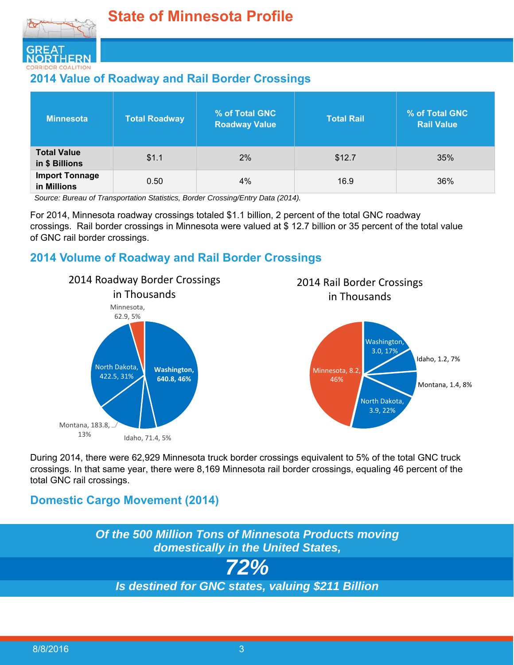

## **2014 Value of Roadway and Rail Border Crossings**

| <b>Minnesota</b>                     | <b>Total Roadway</b> | <b>% of Total GNC</b><br><b>Roadway Value</b> | <b>Total Rail</b> | % of Total GNC<br><b>Rail Value</b> |
|--------------------------------------|----------------------|-----------------------------------------------|-------------------|-------------------------------------|
| <b>Total Value</b><br>in \$ Billions | \$1.1                | 2%                                            | \$12.7            | 35%                                 |
| <b>Import Tonnage</b><br>in Millions | 0.50                 | 4%                                            | 16.9              | 36%                                 |

*Source: Bureau of Transportation Statistics, Border Crossing/Entry Data (2014).* 

For 2014, Minnesota roadway crossings totaled \$1.1 billion, 2 percent of the total GNC roadway crossings. Rail border crossings in Minnesota were valued at \$ 12.7 billion or 35 percent of the total value of GNC rail border crossings.

## **2014 Volume of Roadway and Rail Border Crossings**







During 2014, there were 62,929 Minnesota truck border crossings equivalent to 5% of the total GNC truck crossings. In that same year, there were 8,169 Minnesota rail border crossings, equaling 46 percent of the total GNC rail crossings.

## **Domestic Cargo Movement (2014)**

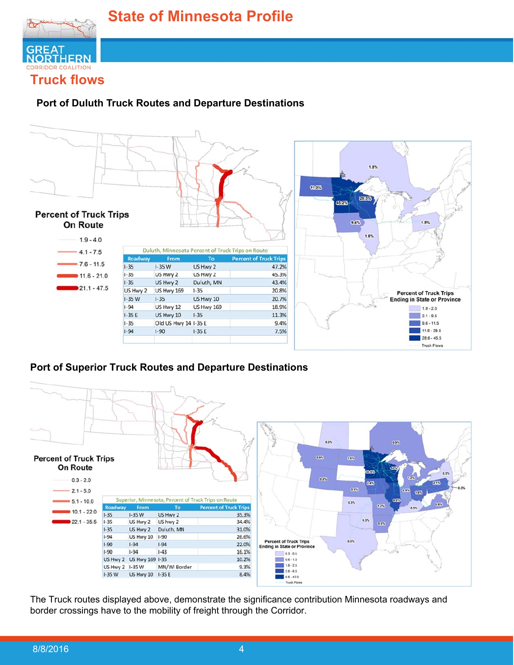

#### **Port of Duluth Truck Routes and Departure Destinations**



#### **Port of Superior Truck Routes and Departure Destinations**



The Truck routes displayed above, demonstrate the significance contribution Minnesota roadways and border crossings have to the mobility of freight through the Corridor.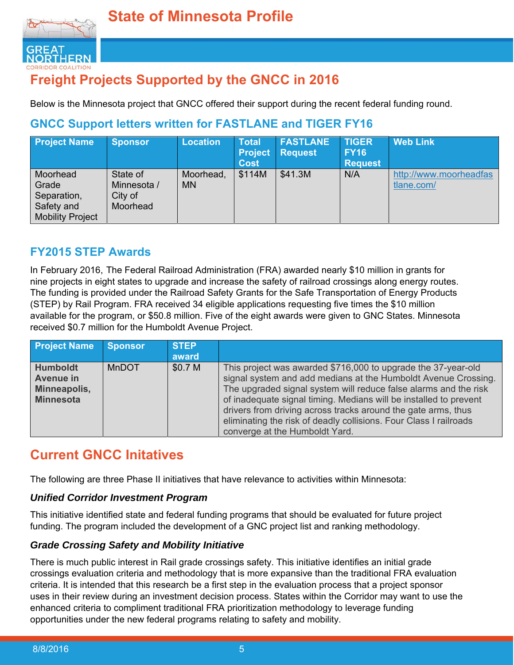

# **Freight Projects Supported by the GNCC in 2016**

Below is the Minnesota project that GNCC offered their support during the recent federal funding round.

## **GNCC Support letters written for FASTLANE and TIGER FY16**

| <b>Project Name</b>                                                       | <b>Sponsor</b>                                 | <b>Location</b>        | <b>Total</b><br><b>Project</b><br><b>Cost</b> | <b>FASTLANE</b><br><b>Request</b> | <b>TIGER</b><br><b>FY16</b><br><b>Request</b> | <b>Web Link</b>                      |
|---------------------------------------------------------------------------|------------------------------------------------|------------------------|-----------------------------------------------|-----------------------------------|-----------------------------------------------|--------------------------------------|
| Moorhead<br>Grade<br>Separation,<br>Safety and<br><b>Mobility Project</b> | State of<br>Minnesota /<br>City of<br>Moorhead | Moorhead,<br><b>MN</b> | \$114M                                        | \$41.3M                           | N/A                                           | http://www.moorheadfas<br>tlane.com/ |

## **FY2015 STEP Awards**

In February 2016, The Federal Railroad Administration (FRA) awarded nearly \$10 million in grants for nine projects in eight states to upgrade and increase the safety of railroad crossings along energy routes. The funding is provided under the Railroad Safety Grants for the Safe Transportation of Energy Products (STEP) by Rail Program. FRA received 34 eligible applications requesting five times the \$10 million available for the program, or \$50.8 million. Five of the eight awards were given to GNC States. Minnesota received \$0.7 million for the Humboldt Avenue Project.

| <b>Project Name</b>                                                     | <b>Sponsor</b> | <b>STEP</b> |                                                                                                                                                                                                                                                                                                                                                                                                                                                  |
|-------------------------------------------------------------------------|----------------|-------------|--------------------------------------------------------------------------------------------------------------------------------------------------------------------------------------------------------------------------------------------------------------------------------------------------------------------------------------------------------------------------------------------------------------------------------------------------|
|                                                                         |                | award       |                                                                                                                                                                                                                                                                                                                                                                                                                                                  |
| <b>Humboldt</b><br><b>Avenue in</b><br>Minneapolis,<br><b>Minnesota</b> | <b>MnDOT</b>   | \$0.7 M     | This project was awarded \$716,000 to upgrade the 37-year-old<br>signal system and add medians at the Humboldt Avenue Crossing.<br>The upgraded signal system will reduce false alarms and the risk<br>of inadequate signal timing. Medians will be installed to prevent<br>drivers from driving across tracks around the gate arms, thus<br>eliminating the risk of deadly collisions. Four Class I railroads<br>converge at the Humboldt Yard. |

# **Current GNCC Initatives**

The following are three Phase II initiatives that have relevance to activities within Minnesota:

#### *Unified Corridor Investment Program*

This initiative identified state and federal funding programs that should be evaluated for future project funding. The program included the development of a GNC project list and ranking methodology.

#### *Grade Crossing Safety and Mobility Initiative*

There is much public interest in Rail grade crossings safety. This initiative identifies an initial grade crossings evaluation criteria and methodology that is more expansive than the traditional FRA evaluation criteria. It is intended that this research be a first step in the evaluation process that a project sponsor uses in their review during an investment decision process. States within the Corridor may want to use the enhanced criteria to compliment traditional FRA prioritization methodology to leverage funding opportunities under the new federal programs relating to safety and mobility.